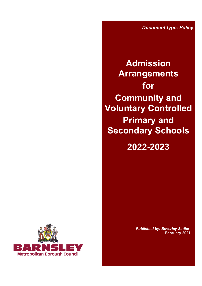*Document type: Policy* 

 **Secondary Schools Admission Arrangements for Community and Voluntary Controlled Primary and** 

**2022-2023** 



*Published by: Beverley Sadler* **February 2021**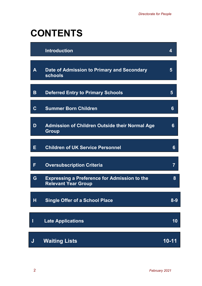# **CONTENTS**

|             | <b>Introduction</b>                                                               | 4     |
|-------------|-----------------------------------------------------------------------------------|-------|
| A           | Date of Admission to Primary and Secondary<br>schools                             | 5     |
| B           | <b>Deferred Entry to Primary Schools</b>                                          | 5     |
| $\mathbf C$ | <b>Summer Born Children</b>                                                       | 6     |
| D           | <b>Admission of Children Outside their Normal Age</b><br><b>Group</b>             | 6     |
| E           | <b>Children of UK Service Personnel</b>                                           | 6     |
| F           | <b>Oversubscription Criteria</b>                                                  | 7     |
| G           | <b>Expressing a Preference for Admission to the</b><br><b>Relevant Year Group</b> | 8     |
| H           | <b>Single Offer of a School Place</b>                                             | $8-9$ |
| I           | <b>Late Applications</b>                                                          | 10    |
| J           | <b>Waiting Lists</b>                                                              | 10-11 |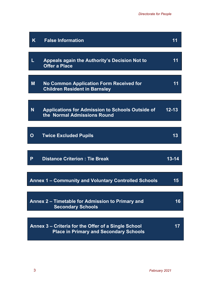| K                                                                            | <b>False Information</b>                                                                             | 11        |
|------------------------------------------------------------------------------|------------------------------------------------------------------------------------------------------|-----------|
| $\Gamma$                                                                     | Appeals again the Authority's Decision Not to<br><b>Offer a Place</b>                                | 11        |
| M                                                                            | <b>No Common Application Form Received for</b><br><b>Children Resident in Barnsley</b>               | 11        |
| <b>N</b>                                                                     | <b>Applications for Admission to Schools Outside of</b><br>the Normal Admissions Round               | $12 - 13$ |
| O                                                                            | <b>Twice Excluded Pupils</b>                                                                         | 13        |
| P                                                                            | <b>Distance Criterion: Tie Break</b>                                                                 | 13-14     |
|                                                                              | <b>Annex 1 – Community and Voluntary Controlled Schools</b>                                          | 15        |
| Annex 2 - Timetable for Admission to Primary and<br><b>Secondary Schools</b> |                                                                                                      |           |
|                                                                              | Annex 3 – Criteria for the Offer of a Single School<br><b>Place in Primary and Secondary Schools</b> | 17        |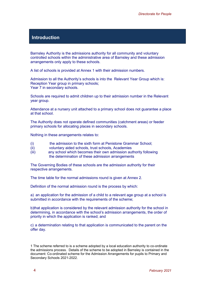## **Introduction**

Barnsley Authority is the admissions authority for all community and voluntary controlled schools within the administrative area of Barnsley and these admission arrangements only apply to these schools.

A list of schools is provided at Annex 1 with their admission numbers.

Admission to all the Authority's schools is into the Relevant Year Group which is: Reception Year group in primary schools; Year 7 in secondary schools.

 Schools are required to admit children up to their admission number in the Relevant year group.

Attendance at a nursery unit attached to a primary school does not guarantee a place at that school.

The Authority does not operate defined communities (catchment areas) or feeder primary schools for allocating places in secondary schools.

Nothing in these arrangements relates to:

- (i) the admission to the sixth form at Penistone Grammar School;
- $(iii)$ <br> $(iii)$ voluntary aided schools, trust schools, Academies
- any school which becomes their own admission authority following the determination of these admission arrangements

 The Governing Bodies of these schools are the admission authority for their respective arrangements.

The time table for the normal admissions round is given at Annex 2.

Definition of the normal admission round is the process by which:

a) an application for the admission of a child to a relevant age group at a school is submitted in accordance with the requirements of the scheme:

b)that application is considered by the relevant admission authority for the school in determining, in accordance with the school's admission arrangements, the order of priority in which the application is ranked; and

 c) a determination relating to that application is communicated to the parent on the offer day.

<sup>1</sup> The scheme referred to is a scheme adopted by a local education authority to co-ordinate the admissions process. Details of the scheme to be adopted in Barnsley is contained in the document: Co-ordinated scheme for the Admission Arrangements for pupils to Primary and Secondary Schools 2021-2022.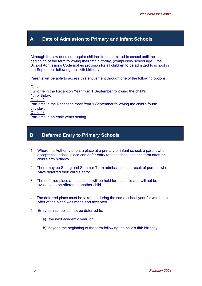#### **A Date of Admission to Primary and Infant Schools**

 beginning of the term following their fifth birthday, (compulsory school age), the the September following their 4th birthday. Although the law does not require children to be admitted to school until the School Admissions Code makes provision for all children to be admitted to school in

Parents will be able to access this entitlement through one of the following options.

Option 1 Full-time in the Reception Year from 1 September following the child's 4th birthday. Option 2 Part-time in the Reception Year from 1 September following the child's fourth birthday. Option 3 Part-time in an early years setting.

#### **B Deferred Entry to Primary Schools**

- accepts that school place can defer entry to that school until the term after the 1 Where the Authority offers a place at a primary or infant school, a parent who child's fifth birthday.
- 2 There may be Spring and Summer Term admissions as a result of parents who have deferred their child's entry.
- 3 The deferred place at that school will be held for that child and will not be available to be offered to another child.
- 4 The deferred place must be taken up during the same school year for which the offer of the place was made and accepted.
- 5 Entry to a school cannot be deferred to:
	- a) the next academic year; or
	- b) beyond the beginning of the term following the child's fifth birthday.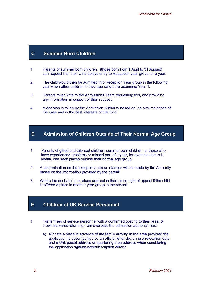## **C Summer Born Children**

- can request that their child delays entry to Reception year group for a year. 1 Parents of summer born children, (those born from 1 April to 31 August)
- 2 The child would then be admitted into Reception Year group in the following year when other children in they age range are beginning Year 1.
- 3 Parents must write to the Admissions Team requesting this, and providing any information in support of their request.
- 4 A decision is taken by the Admission Authority based on the circumstances of the case and in the best interests of the child.

## **D Admission of Children Outside of Their Normal Age Group**

- 1 Parents of gifted and talented children, summer born children, or those who have experienced problems or missed part of a year, for example due to ill health, can seek places outside their normal age group.
- $\overline{2}$ 2 A determination on the exceptional circumstances will be made by the Authority based on the information provided by the parent.
- $\overline{3}$ Where the decision is to refuse admission there is no right of appeal if the child is offered a place in another year group in the school.

#### **E Children of UK Service Personnel**

- For families of service personnel with a confirmed posting to their area, or crown servants returning from overseas the admission authority must: 1
	- a) allocate a place in advance of the family arriving in the area provided the application is accompanied by an official letter declaring a relocation date and a Unit postal address or quartering area address when considering the application against oversubscription criteria.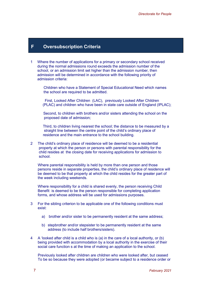#### **F Oversubscription Criteria**

1 Where the number of applications for a primary or secondary school received during the normal admissions round exceeds the admission number of the school, or an admission limit set higher than the admission number, then admission will be determined in accordance with the following priority of admission criteria:

Children who have a Statement of Special Educational Need which names the school are required to be admitted.

First, Looked After Children (LAC), previously Looked After Children (PLAC) and children who have been in state care outside of England (IPLAC);

Second, to children with brothers and/or sisters attending the school on the proposed date of admission*;* 

Third, to children living nearest the school; the distance to be measured by a straight line between the centre point of the child's ordinary place of residence and the main entrance to the school building.

2 The child's ordinary place of residence will be deemed to be a residential property at which the person or persons with parental responsibility for the child resides at the closing date for receiving applications for admission to school.

Where parental responsibility is held by more than one person and those persons reside in separate properties, the child's ordinary place of residence will be deemed to be that property at which the child resides for the greater part of the week including weekends.

Where responsibility for a child is shared evenly, the person receiving Child Benefit is deemed to be the person responsible for completing application forms, and whose address will be used for admissions purposes.

- $\mathbf{3}$ 3 For the sibling criterion to be applicable one of the following conditions must exist:
	- a) brother and/or sister to be permanently resident at the same address;
	- b) stepbrother and/or stepsister to be permanently resident at the same address (to include half brothers/sisters).
- 4 A 'looked after child is a child who is (a) in the care of a local authority, or (b) being provided with accommodation by a local authority in the exercise of their social care function s at the time of making an application to the school.

Previously looked after children are children who were looked after, but ceased To be so because they were adopted (or became subject to a residence order or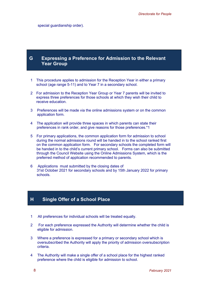#### **G Expressing a Preference for Admission to the Relevant Year Group**

- 1 This procedure applies to admission for the Reception Year in either a primary school (age range 5-11) and to Year 7 in a secondary school.
- 2 For admission to the Reception Year Group or Year 7 parents will be invited to express three preferences for those schools at which they wish their child to receive education.
- 3 Preferences will be made via the online admissions system or on the common application form.
- 4 The application will provide three spaces in which parents can state their preferences in rank order, and give reasons for those preferences.\*1
- during the normal admissions round will be handed in to the school ranked first on the common application form. For secondary schools the completed form will be handed in to the child's current primary school. Forms can also be submitted preferred method of application recommended to parents. 5 For primary applications, the common application form for admission to school through the Council Website using the Online Admissions System, which is the
- $6<sup>1</sup>$ Applications must submitted by the closing dates of 31st October 2021 for secondary schools and by 15th January 2022 for primary schools.

#### **H Single Offer of a School Place**

- 1 All preferences for individual schools will be treated equally.
- $2<sup>1</sup>$ 2 For each preference expressed the Authority will determine whether the child is eligible for admission.
- 3 Where a preference is expressed for a primary or secondary school which is oversubscribed the Authority will apply the priority of admission oversubscription criteria.
- 4 The Authority will make a single offer of a school place for the highest ranked preference where the child is eligible for admission to school.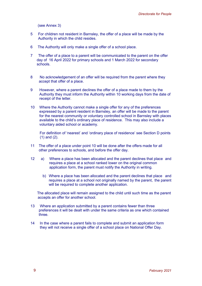(see Annex 3)

- 5 For children not resident in Barnsley, the offer of a place will be made by the Authority in which the child resides.
- 6 The Authority will only make a single offer of a school place.
- 7 The offer of a place to a parent will be communicated to the parent on the offer day of 16 April 2022 for primary schools and 1 March 2022 for secondary schools.
- 8 No acknowledgement of an offer will be required from the parent where they accept that offer of a place.
- Authority they must inform the Authority within 10 working days from the date of receipt of the letter. 9 However, where a parent declines the offer of a place made to them by the
- 10 Where the Authority cannot make a single offer for any of the preferences available to the child's ordinary place of residence. This may also include a expressed by a parent resident in Barnsley, an offer will be made to the parent for the nearest community or voluntary controlled school in Barnsley with places voluntary aided school or academy.

For definition of 'nearest' and 'ordinary place of residence' see Section D points (1) and (2).

- 11 The offer of a place under point 10 will be done after the offers made for all other preferences to schools, and before the offer day.
- application form, the parent must notify the Authority in writing. 12 a) Where a place has been allocated and the parent declines that place and requires a place at a school ranked lower on the original common
	- b) Where a place has been allocated and the parent declines that place and requires a place at a school not originally named by the parent, the parent will be required to complete another application.

The allocated place will remain assigned to the child until such time as the parent accepts an offer for another school.

- $13<sup>°</sup>$ Where an application submitted by a parent contains fewer than three preferences it will be dealt with under the same criteria as one which contained three.
- $14$ In the case where a parent fails to complete and submit an application form they will not receive a single offer of a school place on National Offer Day.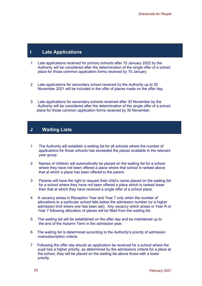## **I Late Applications**

- $\mathbf{1}$ Late applications received for primary schools after 15 January 2022 by the Authority will be considered after the determination of the single offer of a school place for those common application forms received by 15 January.
- $\overline{2}$ Late applications for secondary school received by the Authority up to 30 November 2021 will be included in the offer of places made on the offer day.
- $3<sup>1</sup>$ Late applications for secondary schools received after 30 November by the Authority will be considered after the determination of the single offer of a school place for those common application forms received by 30 November.

#### **J Waiting Lists**

- 1 The Authority will establish a waiting list for all schools where the number of applications for those schools has exceeded the places available in the relevant year group.
- 2 Names of children will automatically be placed on the waiting list for a school where they have not been offered a place where that school is ranked above that at which a place has been offered to the parent.
- $\overline{3}$ Parents will have the right to request their child's name placed on the waiting list for a school where they have not been offered a place which is ranked lower than that at which they have received a single offer of a school place.
- $\overline{4}$ 4 A vacancy arises in Reception Year and Year 7 only when the number of allocations to a particular school falls below the admission number (or a higher admission limit where one has been set). Any vacancy which arises in Year R or Year 7 following allocation of places will be filled from the waiting list.
- $5<sup>1</sup>$ 5 The waiting list will be established on the offer day and be maintained up to the end of the Autumn Term in the admission year.
- $6<sup>1</sup>$ The waiting list is determined according to the Authority's priority of admission oversubscription criteria.
- $7<sup>7</sup>$ 7 Following the offer day should an application be received for a school where the pupil has a higher priority, as determined by the admissions criteria for a place at the school, they will be placed on the waiting list above those with a lower priority.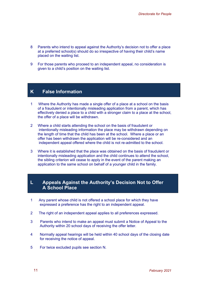- 8 Parents who intend to appeal against the Authority's decision not to offer a place at a preferred school(s) should do so irrespective of having their child's name placed on the waiting list.
- $\mathbf{Q}$ 9 For those parents who proceed to an independent appeal, no consideration is given to a child's position on the waiting list.

#### **K False Information**

- $\mathbf{1}$ Where the Authority has made a single offer of a place at a school on the basis of a fraudulent or intentionally misleading application from a parent, which has effectively denied a place to a child with a stronger claim to a place at the school, the offer of a place will be withdrawn.
- $2<sup>1</sup>$ 2 Where a child starts attending the school on the basis of fraudulent or intentionally misleading information the place may be withdrawn depending on the length of time that the child has been at the school. Where a place or an offer has been withdrawn the application will be re-considered and an independent appeal offered where the child is not re-admitted to the school.
- $3<sup>1</sup>$ Where it is established that the place was obtained on the basis of fraudulent or intentionally misleading application and the child continues to attend the school, the sibling criterion will cease to apply in the event of the parent making an application to the same school on behalf of a younger child in the family.

#### **L Appeals Against the Authority's Decision Not to Offer A School Place**

- 1 Any parent whose child is not offered a school place for which they have expressed a preference has the right to an independent appeal.
- 2 The right of an independent appeal applies to all preferences expressed.
- 3 Parents who intend to make an appeal must submit a Notice of Appeal to the Authority within 20 school days of receiving the offer letter.
- 4 Normally appeal hearings will be held within 40 school days of the closing date for receiving the notice of appeal.
- 5 For twice excluded pupils see section N.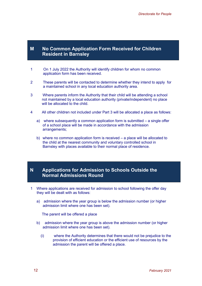#### **M No Common Application Form Received for Children Resident in Barnsley**

- 1 On 1 July 2022 the Authority will identify children for whom no common application form has been received.
- $\overline{2}$ These parents will be contacted to determine whether they intend to apply for a maintained school in any local education authority area.
- 3 Where parents inform the Authority that their child will be attending a school not maintained by a local education authority (private/independent) no place will be allocated to the child.
- $\overline{4}$ 4 All other children not included under Part 3 will be allocated a place as follows:
	- a) where subsequently a common application form is submitted a single offer of a school place will be made in accordance with the admission arrangements;
	- b) where no common application form is received a place will be allocated to the child at the nearest community and voluntary controlled school in Barnsley with places available to their normal place of residence.

#### **N Applications for Admission to Schools Outside the Normal Admissions Round**

- 1 Where applications are received for admission to school following the offer day they will be dealt with as follows:
	- a) admission where the year group is below the admission number (or higher admission limit where one has been set).

The parent will be offered a place

- b) admission where the year group is above the admission number (or higher admission limit where one has been set).
	- $(i)$ where the Authority determines that there would not be prejudice to the provision of efficient education or the efficient use of resources by the admission the parent will be offered a place.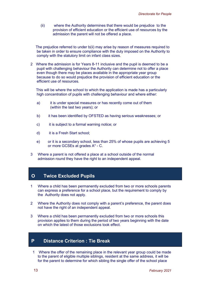$(ii)$ where the Authority determines that there would be prejudice to the provision of efficient education or the efficient use of resources by the admission the parent will not be offered a place.

The prejudice referred to under b(ii) may arise by reason of measures required to be taken in order to ensure compliance with the duty imposed on the Authority to comply with the statutory limit on infant class sizes.

 2 Where the admission is for Years 8-11 inclusive and the pupil is deemed to be a pupil with challenging behaviour the Authority can determine not to offer a place even though there may be places available in the appropriate year group because to do so would prejudice the provision of efficient education or the efficient use of resources.

This will be where the school to which the application is made has a particularly high concentration of pupils with challenging behaviour and where either:

- a) it is under special measures or has recently come out of them (within the last two years); or
- b) it has been identified by OFSTED as having serious weaknesses; or
- c) it is subject to a formal warning notice; or
- d) it is a Fresh Start school;
- e) or it is a secondary school, less than 25% of whose pupils are achieving 5 or more GCSEs at grades A\* - C.
- 3 Where a parent is not offered a place at a school outside of the normal admission round they have the right to an independent appeal.

#### **O Twice Excluded Pupils**

- $\mathbf{1}$ 1 Where a child has been permanently excluded from two or more schools parents can express a preference for a school place, but the requirement to comply by the Authority does not apply.
- $2<sup>1</sup>$ 2 Where the Authority does not comply with a parent's preference, the parent does not have the right of an independent appeal.
- 3 Where a child has been permanently excluded from two or more schools this provision applies to them during the period of two years beginning with the date on which the latest of those exclusions took effect.

#### **P Distance Criterion : Tie Break**

Where the offer of the remaining place in the relevant year group could be made to the parent of eligible multiple siblings, resident at the same address, it will be for the parent to determine for which sibling the single offer of the school place 1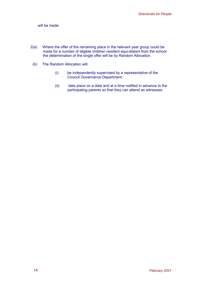will be made.

- $2(a)$ Where the offer of the remaining place in the relevant year group could be made for a number of eligible children resident equi-distant from the school the determination of the single offer will be by Random Allocation.
- (b) The Random Allocation will:
	- (i) be independently supervised by a representative of the Council Governance Department;
	- $(ii)$  participating parents so that they can attend as witnesses. take place on a date and at a time notified in advance to the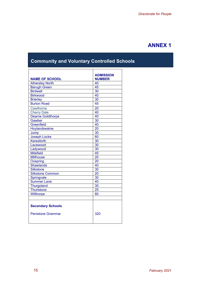# **ANNEX 1**

# **Community and Voluntary Controlled Schools**

|                                                      | <b>ADMISSION</b> |
|------------------------------------------------------|------------------|
| <b>NAME OF SCHOOL</b>                                | <b>NUMBER</b>    |
| <b>Athersley North</b>                               | 40               |
| <b>Barugh Green</b>                                  | 45               |
| <b>Birdwell</b>                                      | 30               |
| <b>Birkwood</b>                                      | 40               |
| <b>Brierley</b>                                      | 30               |
| <b>Burton Road</b>                                   | 45               |
| Cawthorne                                            | 20               |
| <b>Cherry Dale</b>                                   | 40               |
| <b>Dearne Goldthorpe</b>                             | 40               |
| Gawber                                               | 30               |
| Greenfield                                           | 40               |
| Hoylandswaine                                        | 20               |
| Jump                                                 | 30               |
| <b>Joseph Locke</b>                                  | 60               |
| Keresforth                                           | 30               |
| Lacewood                                             | 30               |
| Ladywood                                             | 30               |
| <b>Milefield</b>                                     | 45               |
| <b>Millhouse</b>                                     | 20               |
| Oxspring                                             | 20               |
| <b>Shawlands</b>                                     | 40               |
| <b>Silkstone</b>                                     | 30               |
| <b>Silkstone Common</b>                              | 20               |
| Springvale                                           | 30               |
| <b>Summer Lane</b>                                   | 40               |
| Thurgoland                                           | 30               |
| <b>Thurlstone</b>                                    | 25               |
| Wilthorpe                                            | 60               |
|                                                      |                  |
| <b>Secondary Schools</b><br><b>Penistone Grammar</b> | 320              |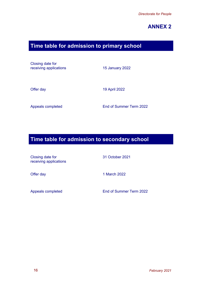# **ANNEX 2**

# **Time table for admission to primary school**

Closing date for receiving applications

**15 January 2022** 

Offer day 19 April 2022

Appeals completed End of Summer Term 2022

## **Time table for admission to secondary school**

Closing date for 31 October 2021 receiving applications

Offer day 1 March 2022

Appeals completed End of Summer Term 2022